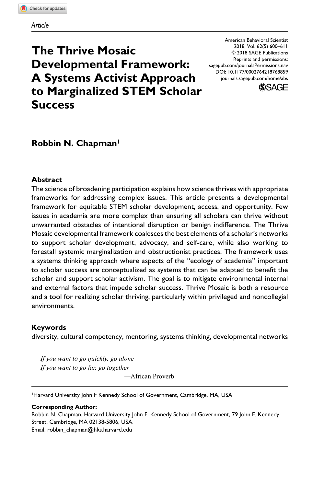# **The Thrive Mosaic Developmental Framework: A Systems Activist Approach to Marginalized STEM Scholar Success**

DOI: 10.1177/0002764218768859 American Behavioral Scientist 2018, Vol. 62(5) 600–611 © 2018 SAGE Publications Reprints and permissions: sagepub.com/journalsPermissions.nav journals.sagepub.com/home/abs



# **Robbin N. Chapman1**

#### **Abstract**

The science of broadening participation explains how science thrives with appropriate frameworks for addressing complex issues. This article presents a developmental framework for equitable STEM scholar development, access, and opportunity. Few issues in academia are more complex than ensuring all scholars can thrive without unwarranted obstacles of intentional disruption or benign indifference. The Thrive Mosaic developmental framework coalesces the best elements of a scholar's networks to support scholar development, advocacy, and self-care, while also working to forestall systemic marginalization and obstructionist practices. The framework uses a systems thinking approach where aspects of the "ecology of academia" important to scholar success are conceptualized as systems that can be adapted to benefit the scholar and support scholar activism. The goal is to mitigate environmental internal and external factors that impede scholar success. Thrive Mosaic is both a resource and a tool for realizing scholar thriving, particularly within privileged and noncollegial environments.

#### **Keywords**

diversity, cultural competency, mentoring, systems thinking, developmental networks

*If you want to go quickly, go alone If you want to go far, go together*

*—*African Proverb

1Harvard University John F Kennedy School of Government, Cambridge, MA, USA

#### **Corresponding Author:**

Robbin N. Chapman, Harvard University John F. Kennedy School of Government, 79 John F. Kennedy Street, Cambridge, MA 02138-5806, USA. Email: robbin\_chapman@hks.harvard.edu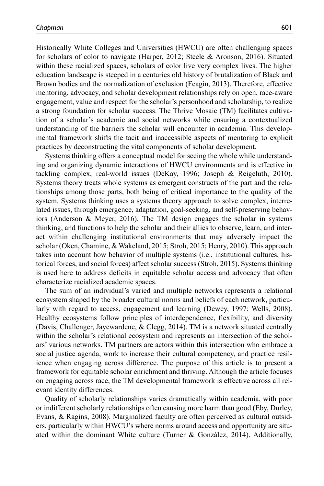Historically White Colleges and Universities (HWCU) are often challenging spaces for scholars of color to navigate (Harper, 2012; Steele & Aronson, 2016). Situated within these racialized spaces, scholars of color live very complex lives. The higher education landscape is steeped in a centuries old history of brutalization of Black and Brown bodies and the normalization of exclusion (Feagin, 2013). Therefore, effective mentoring, advocacy, and scholar development relationships rely on open, race-aware engagement, value and respect for the scholar's personhood and scholarship, to realize a strong foundation for scholar success. The Thrive Mosaic (TM) facilitates cultivation of a scholar's academic and social networks while ensuring a contextualized understanding of the barriers the scholar will encounter in academia. This developmental framework shifts the tacit and inaccessible aspects of mentoring to explicit practices by deconstructing the vital components of scholar development.

Systems thinking offers a conceptual model for seeing the whole while understanding and organizing dynamic interactions of HWCU environments and is effective in tackling complex, real-world issues (DeKay, 1996; Joseph & Reigeluth, 2010). Systems theory treats whole systems as emergent constructs of the part and the relationships among those parts, both being of critical importance to the quality of the system. Systems thinking uses a systems theory approach to solve complex, interrelated issues, through emergence, adaptation, goal-seeking, and self-preserving behaviors (Anderson & Meyer, 2016). The TM design engages the scholar in systems thinking, and functions to help the scholar and their allies to observe, learn, and interact within challenging institutional environments that may adversely impact the scholar (Oken, Chamine, & Wakeland, 2015; Stroh, 2015; Henry, 2010). This approach takes into account how behavior of multiple systems (i.e., institutional cultures, historical forces, and social forces) affect scholar success (Stroh, 2015). Systems thinking is used here to address deficits in equitable scholar access and advocacy that often characterize racialized academic spaces.

The sum of an individual's varied and multiple networks represents a relational ecosystem shaped by the broader cultural norms and beliefs of each network, particularly with regard to access, engagement and learning (Dewey, 1997; Wells, 2008). Healthy ecosystems follow principles of interdependence, flexibility, and diversity (Davis, Challenger, Jayewardene, & Clegg, 2014). TM is a network situated centrally within the scholar's relational ecosystem and represents an intersection of the scholars' various networks. TM partners are actors within this intersection who embrace a social justice agenda, work to increase their cultural competency, and practice resilience when engaging across difference. The purpose of this article is to present a framework for equitable scholar enrichment and thriving. Although the article focuses on engaging across race, the TM developmental framework is effective across all relevant identity differences.

Quality of scholarly relationships varies dramatically within academia, with poor or indifferent scholarly relationships often causing more harm than good (Eby, Durley, Evans, & Ragins, 2008). Marginalized faculty are often perceived as cultural outsiders, particularly within HWCU's where norms around access and opportunity are situated within the dominant White culture (Turner & González, 2014). Additionally,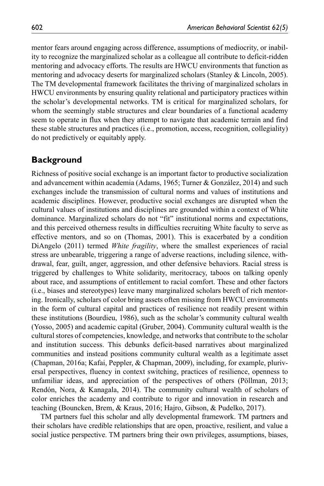mentor fears around engaging across difference, assumptions of mediocrity, or inability to recognize the marginalized scholar as a colleague all contribute to deficit-ridden mentoring and advocacy efforts. The results are HWCU environments that function as mentoring and advocacy deserts for marginalized scholars (Stanley & Lincoln, 2005). The TM developmental framework facilitates the thriving of marginalized scholars in HWCU environments by ensuring quality relational and participatory practices within the scholar's developmental networks. TM is critical for marginalized scholars, for whom the seemingly stable structures and clear boundaries of a functional academy seem to operate in flux when they attempt to navigate that academic terrain and find these stable structures and practices (i.e., promotion, access, recognition, collegiality) do not predictively or equitably apply.

#### **Background**

Richness of positive social exchange is an important factor to productive socialization and advancement within academia (Adams, 1965; Turner & González, 2014) and such exchanges include the transmission of cultural norms and values of institutions and academic disciplines. However, productive social exchanges are disrupted when the cultural values of institutions and disciplines are grounded within a context of White dominance. Marginalized scholars do not "fit" institutional norms and expectations, and this perceived otherness results in difficulties recruiting White faculty to serve as effective mentors, and so on (Thomas, 2001). This is exacerbated by a condition DiAngelo (2011) termed *White fragility*, where the smallest experiences of racial stress are unbearable, triggering a range of adverse reactions, including silence, withdrawal, fear, guilt, anger, aggression, and other defensive behaviors. Racial stress is triggered by challenges to White solidarity, meritocracy, taboos on talking openly about race, and assumptions of entitlement to racial comfort. These and other factors (i.e., biases and stereotypes) leave many marginalized scholars bereft of rich mentoring. Ironically, scholars of color bring assets often missing from HWCU environments in the form of cultural capital and practices of resilience not readily present within these institutions (Bourdieu, 1986), such as the scholar's community cultural wealth (Yosso, 2005) and academic capital (Gruber, 2004). Community cultural wealth is the cultural stores of competencies, knowledge, and networks that contribute to the scholar and institution success. This debunks deficit-based narratives about marginalized communities and instead positions community cultural wealth as a legitimate asset (Chapman, 2016a; Kafai, Peppler, & Chapman, 2009), including, for example, pluriversal perspectives, fluency in context switching, practices of resilience, openness to unfamiliar ideas, and appreciation of the perspectives of others (Pöllman, 2013; Rendón, Nora, & Kanagala, 2014). The community cultural wealth of scholars of color enriches the academy and contribute to rigor and innovation in research and teaching (Bouncken, Brem, & Kraus, 2016; Hajro, Gibson, & Pudelko, 2017).

TM partners fuel this scholar and ally developmental framework. TM partners and their scholars have credible relationships that are open, proactive, resilient, and value a social justice perspective. TM partners bring their own privileges, assumptions, biases,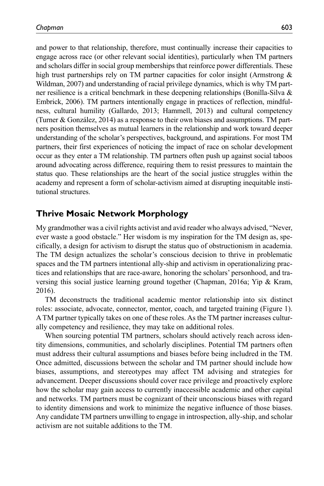and power to that relationship, therefore, must continually increase their capacities to engage across race (or other relevant social identities), particularly when TM partners and scholars differ in social group memberships that reinforce power differentials. These high trust partnerships rely on TM partner capacities for color insight (Armstrong & Wildman, 2007) and understanding of racial privilege dynamics, which is why TM partner resilience is a critical benchmark in these deepening relationships (Bonilla-Silva & Embrick, 2006). TM partners intentionally engage in practices of reflection, mindfulness, cultural humility (Gallardo, 2013; Hammell, 2013) and cultural competency (Turner & González, 2014) as a response to their own biases and assumptions. TM partners position themselves as mutual learners in the relationship and work toward deeper understanding of the scholar's perspectives, background, and aspirations. For most TM partners, their first experiences of noticing the impact of race on scholar development occur as they enter a TM relationship. TM partners often push up against social taboos around advocating across difference, requiring them to resist pressures to maintain the status quo. These relationships are the heart of the social justice struggles within the academy and represent a form of scholar-activism aimed at disrupting inequitable institutional structures.

#### **Thrive Mosaic Network Morphology**

My grandmother was a civil rights activist and avid reader who always advised, "Never, ever waste a good obstacle." Her wisdom is my inspiration for the TM design as, specifically, a design for activism to disrupt the status quo of obstructionism in academia. The TM design actualizes the scholar's conscious decision to thrive in problematic spaces and the TM partners intentional ally-ship and activism in operationalizing practices and relationships that are race-aware, honoring the scholars' personhood, and traversing this social justice learning ground together (Chapman, 2016a; Yip & Kram, 2016).

TM deconstructs the traditional academic mentor relationship into six distinct roles: associate, advocate, connector, mentor, coach, and targeted training (Figure 1). A TM partner typically takes on one of these roles. As the TM partner increases culturally competency and resilience, they may take on additional roles.

When sourcing potential TM partners, scholars should actively reach across identity dimensions, communities, and scholarly disciplines. Potential TM partners often must address their cultural assumptions and biases before being includred in the TM. Once admitted, discussions between the scholar and TM partner should include how biases, assumptions, and stereotypes may affect TM advising and strategies for advancement. Deeper discussions should cover race privilege and proactively explore how the scholar may gain access to currently inaccessible academic and other capital and networks. TM partners must be cognizant of their unconscious biases with regard to identity dimensions and work to minimize the negative influence of those biases. Any candidate TM partners unwilling to engage in introspection, ally-ship, and scholar activism are not suitable additions to the TM.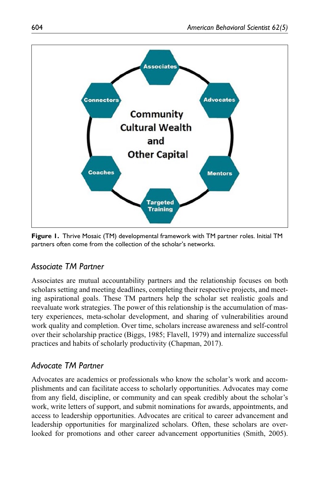

**Figure 1.** Thrive Mosaic (TM) developmental framework with TM partner roles. Initial TM partners often come from the collection of the scholar's networks.

# *Associate TM Partner*

Associates are mutual accountability partners and the relationship focuses on both scholars setting and meeting deadlines, completing their respective projects, and meeting aspirational goals. These TM partners help the scholar set realistic goals and reevaluate work strategies. The power of this relationship is the accumulation of mastery experiences, meta-scholar development, and sharing of vulnerabilities around work quality and completion. Over time, scholars increase awareness and self-control over their scholarship practice (Biggs, 1985; Flavell, 1979) and internalize successful practices and habits of scholarly productivity (Chapman, 2017).

# *Advocate TM Partner*

Advocates are academics or professionals who know the scholar's work and accomplishments and can facilitate access to scholarly opportunities. Advocates may come from any field, discipline, or community and can speak credibly about the scholar's work, write letters of support, and submit nominations for awards, appointments, and access to leadership opportunities. Advocates are critical to career advancement and leadership opportunities for marginalized scholars. Often, these scholars are overlooked for promotions and other career advancement opportunities (Smith, 2005).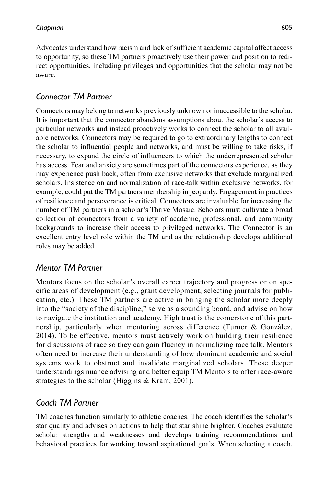Advocates understand how racism and lack of sufficient academic capital affect access to opportunity, so these TM partners proactively use their power and position to redirect opportunities, including privileges and opportunities that the scholar may not be aware.

# *Connector TM Partner*

Connectors may belong to networks previously unknown or inaccessible to the scholar. It is important that the connector abandons assumptions about the scholar's access to particular networks and instead proactively works to connect the scholar to all available networks. Connectors may be required to go to extraordinary lengths to connect the scholar to influential people and networks, and must be willing to take risks, if necessary, to expand the circle of influencers to which the underrepresented scholar has access. Fear and anxiety are sometimes part of the connectors experience, as they may experience push back, often from exclusive networks that exclude marginalized scholars. Insistence on and normalization of race-talk within exclusive networks, for example, could put the TM partners membership in jeopardy. Engagement in practices of resilience and perseverance is critical. Connectors are invaluable for increasing the number of TM partners in a scholar's Thrive Mosaic. Scholars must cultivate a broad collection of connectors from a variety of academic, professional, and community backgrounds to increase their access to privileged networks. The Connector is an excellent entry level role within the TM and as the relationship develops additional roles may be added.

### *Mentor TM Partner*

Mentors focus on the scholar's overall career trajectory and progress or on specific areas of development (e.g., grant development, selecting journals for publication, etc.). These TM partners are active in bringing the scholar more deeply into the "society of the discipline," serve as a sounding board, and advise on how to navigate the institution and academy. High trust is the cornerstone of this partnership, particularly when mentoring across difference (Turner & González, 2014). To be effective, mentors must actively work on building their resilience for discussions of race so they can gain fluency in normalizing race talk. Mentors often need to increase their understanding of how dominant academic and social systems work to obstruct and invalidate marginalized scholars. These deeper understandings nuance advising and better equip TM Mentors to offer race-aware strategies to the scholar (Higgins & Kram, 2001).

### *Coach TM Partner*

TM coaches function similarly to athletic coaches. The coach identifies the scholar's star quality and advises on actions to help that star shine brighter. Coaches evalutate scholar strengths and weaknesses and develops training recommendations and behavioral practices for working toward aspirational goals. When selecting a coach,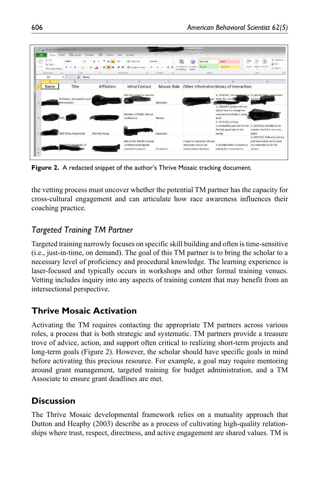|       | X Cut<br>$-4$ Copy -           | Calibri<br>$-10$                           | 扁<br>$- A^*$      | Wrap Text<br>General                                                  |                     | н<br>Normal                                           | Bad                                                                                                                                                                   | $\Sigma$ AutoSum -<br>$\overline{4}$ Fill $\overline{1}$          |
|-------|--------------------------------|--------------------------------------------|-------------------|-----------------------------------------------------------------------|---------------------|-------------------------------------------------------|-----------------------------------------------------------------------------------------------------------------------------------------------------------------------|-------------------------------------------------------------------|
| Paste | <b><i>J</i></b> format Painter | $B$ $I$<br>$\mathbf{u}$                    | 匪<br>$\mathbf{A}$ | HA Merge & Center -<br>ex.                                            | 24 42<br>$5 - 96 +$ | Conditional Format as<br>Good<br>Formatting * Table * | Neutral                                                                                                                                                               | Delete Format<br>Insert<br>Q Clear +                              |
|       | Ciphoard<br>A1                 | $\sim$<br>Fork<br>$f_x$ Name<br>$-$ (iii)  | $\overline{a}$    | Alignment<br>$\vert \tau_n \vert$                                     | Number.<br>$\sim$   | Styles                                                |                                                                                                                                                                       | Calls                                                             |
|       | $\Lambda$                      | B                                          | $\epsilon$        | $\Omega$                                                              |                     |                                                       | G                                                                                                                                                                     | H                                                                 |
|       | <b>Name</b>                    | Title                                      | Affiliation       | Initial Contact                                                       |                     |                                                       | Mosaic Role Other Information listory of Interaction:                                                                                                                 |                                                                   |
|       |                                | Professor, Aeronautics and<br>Astronautics |                   | Met him when he was the<br>samester at Mill<br>Member of NSBE, Met at | Advocate            |                                                       | 1. (041311) wrote reference 2. (spring 2016) nominated<br>ue. letter for me for<br>1. [080917] Spoke with me<br>about how to change me<br>resume to look like C-suite | me for #                                                          |
|       |                                |                                            |                   | conference                                                            | Mentor              |                                                       | level                                                                                                                                                                 |                                                                   |
|       |                                | <b>IBM Africa Researcher</b>               | Nairobi, Kenya    |                                                                       | Associate           |                                                       | 1. (041312) writing<br>ccountability partner for the<br>McNair grant due in the<br>spring                                                                             | 2. [042012] Decided on bi-<br>weekly check for next two<br>years. |

**Figure 2.** A redacted snippet of the author's Thrive Mosaic tracking document.

the vetting process must uncover whether the potential TM partner has the capacity for cross-cultural engagement and can articulate how race awareness influences their coaching practice.

# *Targeted Training TM Partner*

Targeted training narrowly focuses on specific skill building and often is time-sensitive (i.e., just-in-time, on demand). The goal of this TM partner is to bring the scholar to a necessary level of proficiency and procedural knowledge. The learning experience is laser-focused and typically occurs in workshops and other formal training venues. Vetting includes inquiry into any aspects of training content that may benefit from an intersectional perspective.

# **Thrive Mosaic Activation**

Activating the TM requires contacting the appropriate TM partners across various roles, a process that is both strategic and systematic. TM partners provide a treasure trove of advice, action, and support often critical to realizing short-term projects and long-term goals (Figure 2). However, the scholar should have specific goals in mind before activating this precious resource. For example, a goal may require mentoring around grant management, targeted training for budget administration, and a TM Associate to ensure grant deadlines are met.

# **Discussion**

The Thrive Mosaic developmental framework relies on a mutuality approach that Dutton and Heaphy (2003) describe as a process of cultivating high-quality relationships where trust, respect, directness, and active engagement are shared values. TM is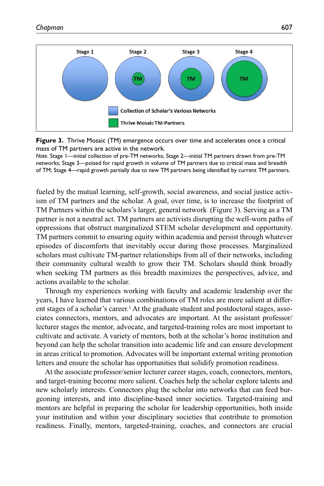



*Note*. Stage 1—initial collection of pre-TM networks; Stage 2—initial TM partners drawn from pre-TM networks; Stage 3—poised for rapid growth in volume of TM partners due to critical mass and breadth of TM; Stage 4—rapid growth partially due to new TM partners being identified by current TM partners.

fueled by the mutual learning, self-growth, social awareness, and social justice activism of TM partners and the scholar. A goal, over time, is to increase the footprint of TM Partners within the scholars's larger, general network (Figure 3). Serving as a TM partner is not a neutral act. TM partners are activists disrupting the well-worn paths of oppressions that obstruct marginalized STEM scholar development and opportunity. TM partners commit to ensuring equity within academia and persist through whatever episodes of discomforts that inevitably occur during those processes. Marginalized scholars must cultivate TM-partner relationships from all of their networks, including their community cultural wealth to grow their TM. Scholars should think broadly when seeking TM partners as this breadth maximizes the perspectives, advice, and actions available to the scholar.

Through my experiences working with faculty and academic leadership over the years, I have learned that various combinations of TM roles are more salient at different stages of a scholar's career.<sup>1</sup> At the graduate student and postdoctoral stages, associates connectors, mentors, and advocates are important. At the assistant professor/ lecturer stages the mentor, advocate, and targeted-training roles are most important to cultivate and activate. A variety of mentors, both at the scholar's home institution and beyond can help the scholar transition into academic life and can ensure development in areas critical to promotion. Advocates will be important external writing promotion letters and ensure the scholar has opportunities that solidify promotion readiness.

At the associate professor/senior lecturer career stages, coach, connectors, mentors, and target-training become more salient. Coaches help the scholar explore talents and new scholarly interests. Connectors plug the scholar into networks that can feed burgeoning interests, and into discipline-based inner societies. Targeted-training and mentors are helpful in preparing the scholar for leadership opportunities, both inside your institution and within your disciplinary societies that contribute to promotion readiness. Finally, mentors, targeted-training, coaches, and connectors are crucial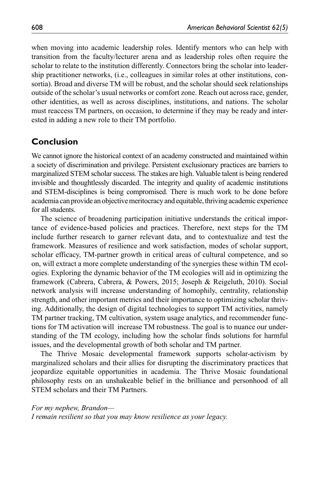when moving into academic leadership roles. Identify mentors who can help with transition from the faculty/lecturer arena and as leadership roles often require the scholar to relate to the institution differently. Connectors bring the scholar into leadership practitioner networks, (i.e., colleagues in similar roles at other institutions, consortia). Broad and diverse TM will be robust, and the scholar should seek relationships outside of the scholar's usual networks or comfort zone. Reach out across race, gender, other identities, as well as across disciplines, institutions, and nations. The scholar must reaccess TM partners, on occasion, to determine if they may be ready and interested in adding a new role to their TM portfolio.

#### **Conclusion**

We cannot ignore the historical context of an academy constructed and maintained within a society of discrimination and privilege. Persistent exclusionary practices are barriers to marginalized STEM scholar success. The stakes are high. Valuable talent is being rendered invisible and thoughtlessly discarded. The integrity and quality of academic institutions and STEM-disciplines is being compromised. There is much work to be done before academia can provide an objective meritocracy and equitable, thriving academic experience for all students.

The science of broadening participation initiative understands the critical importance of evidence-based policies and practices. Therefore, next steps for the TM include further research to garner relevant data, and to contextualize and test the framework. Measures of resilience and work satisfaction, modes of scholar support, scholar efficacy, TM-partner growth in critical areas of cultural competence, and so on, will extract a more complete understanding of the synergies these within TM ecologies. Exploring the dynamic behavior of the TM ecologies will aid in optimizing the framework (Cabrera, Cabrera, & Powers, 2015; Joseph & Reigeluth, 2010). Social network analysis will increase understanding of homophily, centrality, relationship strength, and other important metrics and their importance to optimizing scholar thriving. Additionally, the design of digital technologies to support TM activities, namely TM partner tracking, TM cultivation, system usage analytics, and recommender functions for TM activation will increase TM robustness. The goal is to nuance our understanding of the TM ecology, including how the scholar finds solutions for harmful issues, and the developmental growth of both scholar and TM partner.

The Thrive Mosaic developmental framework supports scholar-activism by marginalized scholars and their allies for disrupting the discriminatory practices that jeopardize equitable opportunities in academia. The Thrive Mosaic foundational philosophy rests on an unshakeable belief in the brilliance and personhood of all STEM scholars and their TM Partners.

*For my nephew, Brandon— I remain resilient so that you may know resilience as your legacy.*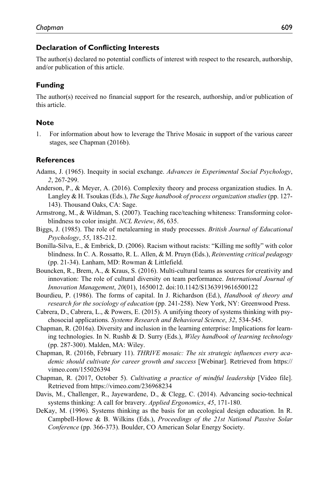#### **Declaration of Conflicting Interests**

The author(s) declared no potential conflicts of interest with respect to the research, authorship, and/or publication of this article.

#### **Funding**

The author(s) received no financial support for the research, authorship, and/or publication of this article.

#### **Note**

1. For information about how to leverage the Thrive Mosaic in support of the various career stages, see Chapman (2016b).

#### **References**

- Adams, J. (1965). Inequity in social exchange. *Advances in Experimental Social Psychology*, *2*, 267-299.
- Anderson, P., & Meyer, A. (2016). Complexity theory and process organization studies. In A. Langley & H. Tsoukas (Eds.), *The Sage handbook of process organization studies* (pp. 127- 143). Thousand Oaks, CA: Sage.
- Armstrong, M., & Wildman, S. (2007). Teaching race/teaching whiteness: Transforming colorblindness to color insight. *NCL Review*, *86*, 635.
- Biggs, J. (1985). The role of metalearning in study processes. *British Journal of Educational Psychology*, *55*, 185-212.
- Bonilla-Silva, E., & Embrick, D. (2006). Racism without racists: "Killing me softly" with color blindness. In C. A. Rossatto, R. L. Allen, & M. Pruyn (Eds.), *Reinventing critical pedagogy* (pp. 21-34). Lanham, MD: Rowman & Littlefield.
- Bouncken, R., Brem, A., & Kraus, S. (2016). Multi-cultural teams as sources for creativity and innovation: The role of cultural diversity on team performance. *International Journal of Innovation Management*, *20*(01), 1650012. doi:10.1142/S1363919616500122
- Bourdieu, P. (1986). The forms of capital. In J. Richardson (Ed.), *Handbook of theory and research for the sociology of education* (pp. 241-258). New York, NY: Greenwood Press.
- Cabrera, D., Cabrera, L., & Powers, E. (2015). A unifying theory of systems thinking with psychosocial applications. *Systems Research and Behavioral Science*, *32*, 534-545.
- Chapman, R. (2016a). Diversity and inclusion in the learning enterprise: Implications for learning technologies. In N. Rushb & D. Surry (Eds.), *Wiley handbook of learning technology* (pp. 287-300). Malden, MA: Wiley.
- Chapman, R. (2016b, February 11). *THRIVE mosaic: The six strategic influences every academic should cultivate for career growth and success* [Webinar]. Retrieved from https:// vimeo.com/155026394
- Chapman, R. (2017, October 5). *Cultivating a practice of mindful leadership* [Video file]. Retrieved from https://vimeo.com/236968234
- Davis, M., Challenger, R., Jayewardene, D., & Clegg, C. (2014). Advancing socio-technical systems thinking: A call for bravery. *Applied Ergonomics*, *45*, 171-180.
- DeKay, M. (1996). Systems thinking as the basis for an ecological design education. In R. Campbell-Howe & B. Wilkins (Eds.), *Proceedings of the 21st National Passive Solar Conference* (pp. 366-373). Boulder, CO American Solar Energy Society.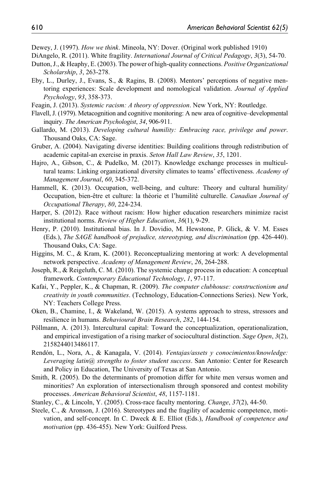Dewey, J. (1997). *How we think*. Mineola, NY: Dover. (Original work published 1910)

- DiAngelo, R. (2011). White fragility. *International Journal of Critical Pedagogy*, *3*(3), 54-70.
- Dutton, J., & Heaphy, E. (2003). The power of high-quality connections. *Positive Organizational Scholarship*, *3*, 263-278.
- Eby, L., Durley, J., Evans, S., & Ragins, B. (2008). Mentors' perceptions of negative mentoring experiences: Scale development and nomological validation. *Journal of Applied Psychology*, *93*, 358-373.
- Feagin, J. (2013). *Systemic racism: A theory of oppression*. New York, NY: Routledge.
- Flavell, J. (1979). Metacognition and cognitive monitoring: A new area of cognitive–developmental inquiry. *The American Psychologist*, *34*, 906-911.
- Gallardo, M. (2013). *Developing cultural humility: Embracing race, privilege and power*. Thousand Oaks, CA: Sage.
- Gruber, A. (2004). Navigating diverse identities: Building coalitions through redistribution of academic capital-an exercise in praxis. *Seton Hall Law Review*, *35*, 1201.
- Hajro, A., Gibson, C., & Pudelko, M. (2017). Knowledge exchange processes in multicultural teams: Linking organizational diversity climates to teams' effectiveness. *Academy of Management Journal*, *60*, 345-372.
- Hammell, K. (2013). Occupation, well-being, and culture: Theory and cultural humility/ Occupation, bien-être et culture: la théorie et l'humilité culturelle. *Canadian Journal of Occupational Therapy*, *80*, 224-234.
- Harper, S. (2012). Race without racism: How higher education researchers minimize racist institutional norms. *Review of Higher Education*, *36*(1), 9-29.
- Henry, P. (2010). Institutional bias. In J. Dovidio, M. Hewstone, P. Glick, & V. M. Esses (Eds.), *The SAGE handbook of prejudice, stereotyping, and discrimination* (pp. 426-440). Thousand Oaks, CA: Sage.
- Higgins, M. C., & Kram, K. (2001). Reconceptualizing mentoring at work: A developmental network perspective. *Academy of Management Review*, *26*, 264-288.
- Joseph, R., & Reigeluth, C. M. (2010). The systemic change process in education: A conceptual framework. *Contemporary Educational Technology*, *1*, 97-117.
- Kafai, Y., Peppler, K., & Chapman, R. (2009). *The computer clubhouse: constructionism and creativity in youth communities*. (Technology, Education-Connections Series). New York, NY: Teachers College Press.
- Oken, B., Chamine, I., & Wakeland, W. (2015). A systems approach to stress, stressors and resilience in humans. *Behavioural Brain Research*, *282*, 144-154.
- Pöllmann, A. (2013). Intercultural capital: Toward the conceptualization, operationalization, and empirical investigation of a rising marker of sociocultural distinction. *Sage Open*, *3*(2), 2158244013486117.
- Rendón, L., Nora, A., & Kanagala, V. (2014). *Ventajas/assets y conocimientos/knowledge: Leveraging latin@ strengths to foster student success*. San Antonio: Center for Research and Policy in Education, The University of Texas at San Antonio.
- Smith, R. (2005). Do the determinants of promotion differ for white men versus women and minorities? An exploration of intersectionalism through sponsored and contest mobility processes. *American Behavioral Scientist*, *48*, 1157-1181.
- Stanley, C., & Lincoln, Y. (2005). Cross-race faculty mentoring. *Change*, *37*(2), 44-50.
- Steele, C., & Aronson, J. (2016). Stereotypes and the fragility of academic competence, motivation, and self-concept. In C. Dweck & E. Elliot (Eds.), *Handbook of competence and motivation* (pp. 436-455). New York: Guilford Press.